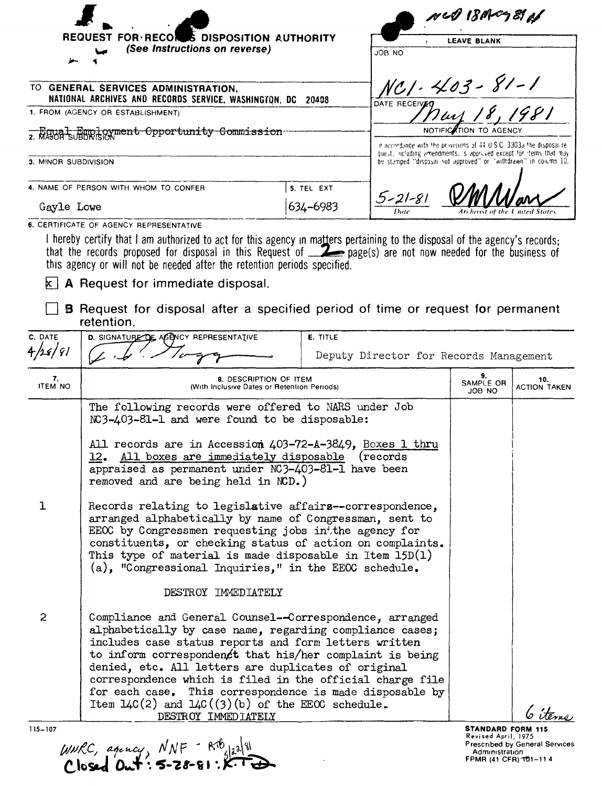|                                                                      |                                                                                                                                                                                                                                                                                                                                                                                                                                                                                                                     | r KN 18 AP 21 A        |                    |                                                                                                                                            |                           |                            |  |
|----------------------------------------------------------------------|---------------------------------------------------------------------------------------------------------------------------------------------------------------------------------------------------------------------------------------------------------------------------------------------------------------------------------------------------------------------------------------------------------------------------------------------------------------------------------------------------------------------|------------------------|--------------------|--------------------------------------------------------------------------------------------------------------------------------------------|---------------------------|----------------------------|--|
| <b>FOR RECON</b><br><b>S DISPOSITION AUTHORITY</b><br><b>REQUEST</b> |                                                                                                                                                                                                                                                                                                                                                                                                                                                                                                                     |                        | <b>LEAVE BLANK</b> |                                                                                                                                            |                           |                            |  |
| (See Instructions on reverse)                                        |                                                                                                                                                                                                                                                                                                                                                                                                                                                                                                                     |                        | <b>JOB NO</b>      |                                                                                                                                            |                           |                            |  |
|                                                                      |                                                                                                                                                                                                                                                                                                                                                                                                                                                                                                                     |                        |                    |                                                                                                                                            |                           |                            |  |
|                                                                      | TO GENERAL SERVICES ADMINISTRATION,<br>NATIONAL ARCHIVES AND RECORDS SERVICE, WASHINGTON, DC 20408                                                                                                                                                                                                                                                                                                                                                                                                                  |                        |                    |                                                                                                                                            | NC1-403-81-1              |                            |  |
| 1. FROM (AGENCY OR ESTABLISHMENT)                                    |                                                                                                                                                                                                                                                                                                                                                                                                                                                                                                                     |                        |                    | DATE RECEIVED                                                                                                                              |                           |                            |  |
| 2. Equal Employment Opportunity Commission                           |                                                                                                                                                                                                                                                                                                                                                                                                                                                                                                                     |                        |                    |                                                                                                                                            |                           |                            |  |
|                                                                      |                                                                                                                                                                                                                                                                                                                                                                                                                                                                                                                     |                        |                    | n accordance with the privisions of 44 U.S.C. 3303a the disposalite.<br>quest, including amendments, is approved except for items that may |                           |                            |  |
| 3. MINOR SUBDIVISION                                                 |                                                                                                                                                                                                                                                                                                                                                                                                                                                                                                                     |                        |                    | be stamped "disposai not approved" or "withdrawn" in column 10.                                                                            |                           |                            |  |
|                                                                      | 4. NAME OF PERSON WITH WHOM TO CONFER                                                                                                                                                                                                                                                                                                                                                                                                                                                                               |                        | 5. TEL EXT         |                                                                                                                                            |                           |                            |  |
|                                                                      | Gayle Lowe                                                                                                                                                                                                                                                                                                                                                                                                                                                                                                          |                        | 634–6983           | 5-21-81                                                                                                                                    |                           |                            |  |
|                                                                      | 6. CERTIFICATE OF AGENCY REPRESENTATIVE                                                                                                                                                                                                                                                                                                                                                                                                                                                                             |                        |                    |                                                                                                                                            |                           |                            |  |
|                                                                      | I hereby certify that I am authorized to act for this agency in matters pertaining to the disposal of the agency's records;<br>that the records proposed for disposal in this Request of <b>Example 2</b> page(s) are not now needed for the business of<br>this agency or will not be needed after the retention periods specified.<br>$k$ A Request for immediate disposal.<br><b>B</b> Request for disposal after a specified period of time or request for permanent                                            |                        |                    |                                                                                                                                            |                           |                            |  |
|                                                                      | retention.                                                                                                                                                                                                                                                                                                                                                                                                                                                                                                          |                        |                    |                                                                                                                                            |                           |                            |  |
| C. DATE                                                              | D. SIGNATURE OF AGENCY REPRESENTATIVE<br>E. TITLE                                                                                                                                                                                                                                                                                                                                                                                                                                                                   |                        |                    |                                                                                                                                            |                           |                            |  |
| $^{\prime}$ 81                                                       | Deputy Director for Records Management                                                                                                                                                                                                                                                                                                                                                                                                                                                                              |                        |                    |                                                                                                                                            |                           |                            |  |
| 7.<br><b>ITEM NO</b>                                                 | (With Inclusive Dates or Retention Periods)                                                                                                                                                                                                                                                                                                                                                                                                                                                                         | 8. DESCRIPTION OF ITEM |                    |                                                                                                                                            | 9.<br>SAMPLE OR<br>JOB NO | 10.<br><b>ACTION TAKEN</b> |  |
|                                                                      | The following records were offered to NARS under Job<br>NC3-403-81-1 and were found to be disposable:<br>All records are in Accession 403-72-A-3849, Boxes 1 thru<br>12. All boxes are immediately disposable (records<br>appraised as permanent under NC3-403-81-1 have been<br>removed and are being held in NCD.)                                                                                                                                                                                                |                        |                    |                                                                                                                                            |                           |                            |  |
| ı                                                                    | Records relating to legislative affairs--correspondence,<br>arranged alphabetically by name of Congressman, sent to<br>EEOC by Congressmen requesting jobs intthe agency for<br>constituents, or checking status of action on complaints.<br>This type of material is made disposable in Item $15D(1)$<br>$(a)$ , "Congressional Inquiries," in the EEOC schedule.                                                                                                                                                  |                        |                    |                                                                                                                                            |                           |                            |  |
|                                                                      | DESTROY IMMEDIATELY                                                                                                                                                                                                                                                                                                                                                                                                                                                                                                 |                        |                    |                                                                                                                                            |                           |                            |  |
| $\overline{c}$                                                       | Compliance and General Counsel--Correspondence, arranged<br>alphabetically by case name, regarding compliance cases;<br>includes case status reports and form letters written<br>to inform correspondent that his/her complaint is being<br>denied, etc. All letters are duplicates of original<br>correspondence which is filed in the official charge file<br>for each case. This correspondence is made disposable by<br>Item $L4C(2)$ and $L4C((3)(b)$ of the EEOC schedule.<br>ls items<br>DESTROY IMMEDIATELY |                        |                    |                                                                                                                                            |                           |                            |  |

 $UWRC$ , agency,  $NNF - RTB$ 

**STANDARD FORM 115**<br>Revised April, 1975<br>Prescribed by General Services<br>Administration<br>FPMR (41 CFR) 101-11 4

 $115 - 107$